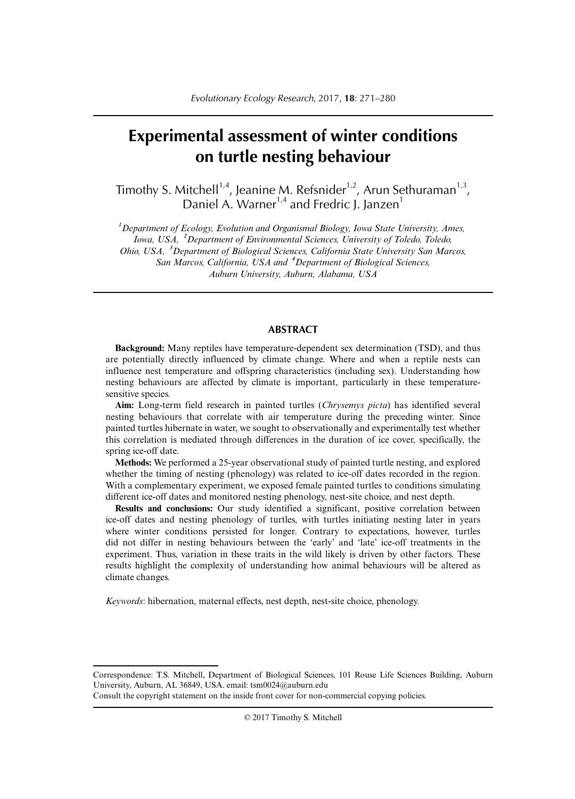# **Experimental assessment of winter conditions on turtle nesting behaviour**

Timothy S. Mitchell<sup>1,4</sup>, Jeanine M. Refsnider<sup>1,2</sup>, Arun Sethuraman<sup>1,3</sup>, Daniel A. Warner<sup>1,4</sup> and Fredric I. Janzen<sup>1</sup>

*1 Department of Ecology, Evolution and Organismal Biology, Iowa State University, Ames, Iowa, USA, <sup>2</sup> Department of Environmental Sciences, University of Toledo, Toledo, Ohio, USA, <sup>3</sup> Department of Biological Sciences, California State University San Marcos, San Marcos, California, USA and <sup>4</sup> Department of Biological Sciences, Auburn University, Auburn, Alabama, USA*

# **ABSTRACT**

**Background:** Many reptiles have temperature-dependent sex determination (TSD), and thus are potentially directly influenced by climate change. Where and when a reptile nests can influence nest temperature and offspring characteristics (including sex). Understanding how nesting behaviours are affected by climate is important, particularly in these temperaturesensitive species.

**Aim:** Long-term field research in painted turtles (*Chrysemys picta*) has identified several nesting behaviours that correlate with air temperature during the preceding winter. Since painted turtles hibernate in water, we sought to observationally and experimentally test whether this correlation is mediated through differences in the duration of ice cover, specifically, the spring ice-off date.

**Methods:** We performed a 25-year observational study of painted turtle nesting, and explored whether the timing of nesting (phenology) was related to ice-off dates recorded in the region. With a complementary experiment, we exposed female painted turtles to conditions simulating different ice-off dates and monitored nesting phenology, nest-site choice, and nest depth.

**Results and conclusions:** Our study identified a significant, positive correlation between ice-off dates and nesting phenology of turtles, with turtles initiating nesting later in years where winter conditions persisted for longer. Contrary to expectations, however, turtles did not differ in nesting behaviours between the 'early' and 'late' ice-off treatments in the experiment. Thus, variation in these traits in the wild likely is driven by other factors. These results highlight the complexity of understanding how animal behaviours will be altered as climate changes.

*Keywords*: hibernation, maternal effects, nest depth, nest-site choice, phenology.

© 2017 Timothy S. Mitchell

Correspondence: T.S. Mitchell, Department of Biological Sciences, 101 Rouse Life Sciences Building, Auburn University, Auburn, AL 36849, USA. email: tsm0024@auburn.edu Consult the copyright statement on the inside front cover for non-commercial copying policies.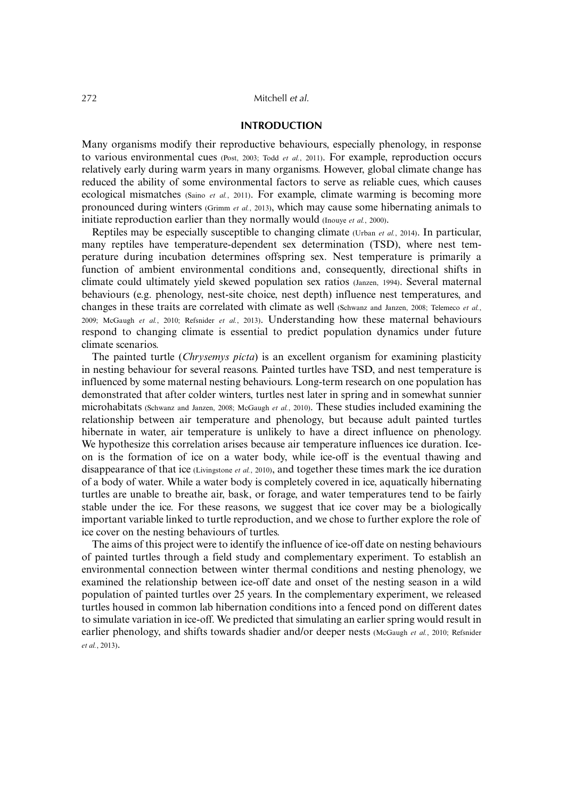### **INTRODUCTION**

Many organisms modify their reproductive behaviours, especially phenology, in response to various environmental cues (Post, 2003; Todd *et al.*, 2011). For example, reproduction occurs relatively early during warm years in many organisms. However, global climate change has reduced the ability of some environmental factors to serve as reliable cues, which causes ecological mismatches (Saino *et al.*, 2011). For example, climate warming is becoming more pronounced during winters (Grimm *et al.*, 2013), which may cause some hibernating animals to initiate reproduction earlier than they normally would (Inouye *et al.*, 2000).

Reptiles may be especially susceptible to changing climate (Urban *et al.*, 2014). In particular, many reptiles have temperature-dependent sex determination (TSD), where nest temperature during incubation determines offspring sex. Nest temperature is primarily a function of ambient environmental conditions and, consequently, directional shifts in climate could ultimately yield skewed population sex ratios (Janzen, 1994). Several maternal behaviours (e.g. phenology, nest-site choice, nest depth) influence nest temperatures, and changes in these traits are correlated with climate as well (Schwanz and Janzen, 2008; Telemeco *et al.*, 2009; McGaugh *et al.*, 2010; Refsnider *et al.*, 2013). Understanding how these maternal behaviours respond to changing climate is essential to predict population dynamics under future climate scenarios.

The painted turtle (*Chrysemys picta*) is an excellent organism for examining plasticity in nesting behaviour for several reasons. Painted turtles have TSD, and nest temperature is influenced by some maternal nesting behaviours. Long-term research on one population has demonstrated that after colder winters, turtles nest later in spring and in somewhat sunnier microhabitats (Schwanz and Janzen, 2008; McGaugh *et al.*, 2010). These studies included examining the relationship between air temperature and phenology, but because adult painted turtles hibernate in water, air temperature is unlikely to have a direct influence on phenology. We hypothesize this correlation arises because air temperature influences ice duration. Iceon is the formation of ice on a water body, while ice-off is the eventual thawing and disappearance of that ice (Livingstone *et al.*, 2010), and together these times mark the ice duration of a body of water. While a water body is completely covered in ice, aquatically hibernating turtles are unable to breathe air, bask, or forage, and water temperatures tend to be fairly stable under the ice. For these reasons, we suggest that ice cover may be a biologically important variable linked to turtle reproduction, and we chose to further explore the role of ice cover on the nesting behaviours of turtles.

The aims of this project were to identify the influence of ice-off date on nesting behaviours of painted turtles through a field study and complementary experiment. To establish an environmental connection between winter thermal conditions and nesting phenology, we examined the relationship between ice-off date and onset of the nesting season in a wild population of painted turtles over 25 years. In the complementary experiment, we released turtles housed in common lab hibernation conditions into a fenced pond on different dates to simulate variation in ice-off. We predicted that simulating an earlier spring would result in earlier phenology, and shifts towards shadier and/or deeper nests (McGaugh *et al.*, 2010; Refsnider *et al.*, 2013).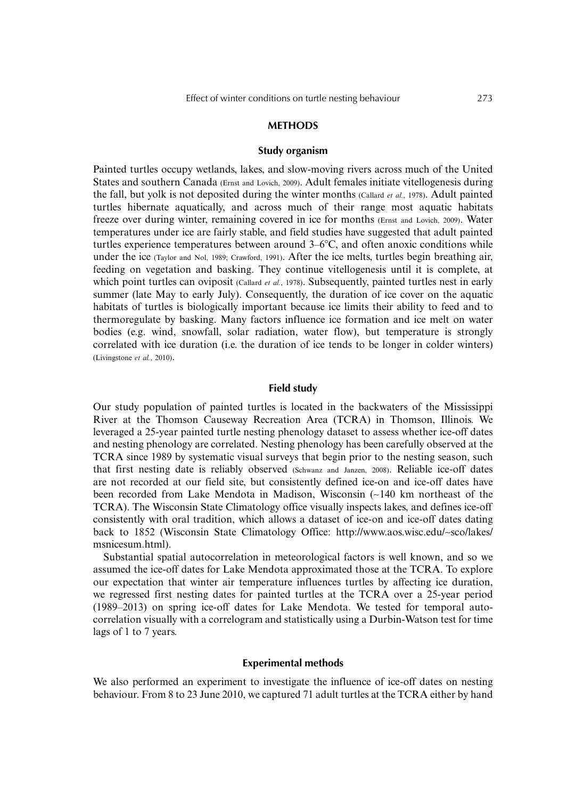#### **METHODS**

#### **Study organism**

Painted turtles occupy wetlands, lakes, and slow-moving rivers across much of the United States and southern Canada (Ernst and Lovich, 2009). Adult females initiate vitellogenesis during the fall, but yolk is not deposited during the winter months (Callard *et al.*, 1978). Adult painted turtles hibernate aquatically, and across much of their range most aquatic habitats freeze over during winter, remaining covered in ice for months (Ernst and Lovich, 2009). Water temperatures under ice are fairly stable, and field studies have suggested that adult painted turtles experience temperatures between around  $3-6^{\circ}C$ , and often anoxic conditions while under the ice (Taylor and Nol, 1989; Crawford, 1991). After the ice melts, turtles begin breathing air, feeding on vegetation and basking. They continue vitellogenesis until it is complete, at which point turtles can oviposit (Callard *et al.*, 1978). Subsequently, painted turtles nest in early summer (late May to early July). Consequently, the duration of ice cover on the aquatic habitats of turtles is biologically important because ice limits their ability to feed and to thermoregulate by basking. Many factors influence ice formation and ice melt on water bodies (e.g. wind, snowfall, solar radiation, water flow), but temperature is strongly correlated with ice duration (i.e. the duration of ice tends to be longer in colder winters) (Livingstone *et al.*, 2010).

# **Field study**

Our study population of painted turtles is located in the backwaters of the Mississippi River at the Thomson Causeway Recreation Area (TCRA) in Thomson, Illinois. We leveraged a 25-year painted turtle nesting phenology dataset to assess whether ice-off dates and nesting phenology are correlated. Nesting phenology has been carefully observed at the TCRA since 1989 by systematic visual surveys that begin prior to the nesting season, such that first nesting date is reliably observed (Schwanz and Janzen, 2008). Reliable ice-off dates are not recorded at our field site, but consistently defined ice-on and ice-off dates have been recorded from Lake Mendota in Madison, Wisconsin (∼140 km northeast of the TCRA). The Wisconsin State Climatology office visually inspects lakes, and defines ice-off consistently with oral tradition, which allows a dataset of ice-on and ice-off dates dating back to 1852 (Wisconsin State Climatology Office: http://www.aos.wisc.edu/∼sco/lakes/ msnicesum.html).

Substantial spatial autocorrelation in meteorological factors is well known, and so we assumed the ice-off dates for Lake Mendota approximated those at the TCRA. To explore our expectation that winter air temperature influences turtles by affecting ice duration, we regressed first nesting dates for painted turtles at the TCRA over a 25-year period (1989–2013) on spring ice-off dates for Lake Mendota. We tested for temporal autocorrelation visually with a correlogram and statistically using a Durbin-Watson test for time lags of 1 to 7 years.

# **Experimental methods**

We also performed an experiment to investigate the influence of ice-off dates on nesting behaviour. From 8 to 23 June 2010, we captured 71 adult turtles at the TCRA either by hand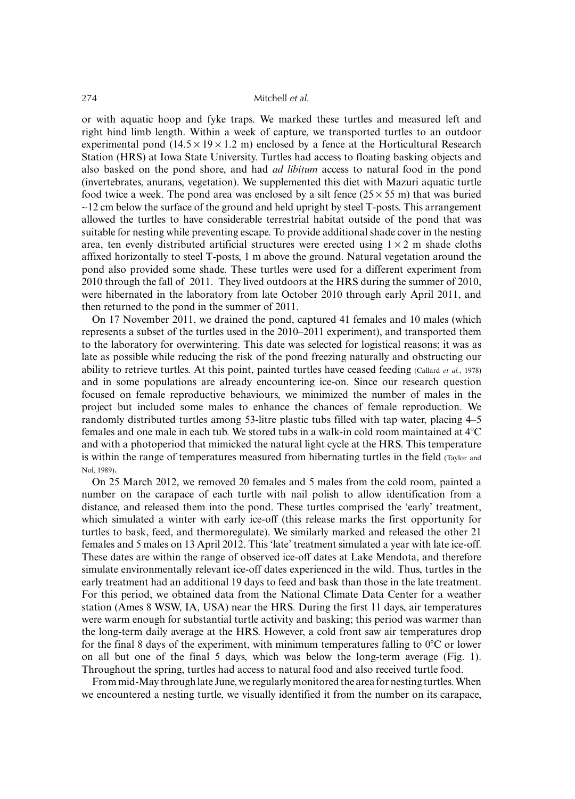or with aquatic hoop and fyke traps. We marked these turtles and measured left and right hind limb length. Within a week of capture, we transported turtles to an outdoor experimental pond  $(14.5 \times 19 \times 1.2 \text{ m})$  enclosed by a fence at the Horticultural Research Station (HRS) at Iowa State University. Turtles had access to floating basking objects and also basked on the pond shore, and had *ad libitum* access to natural food in the pond (invertebrates, anurans, vegetation). We supplemented this diet with Mazuri aquatic turtle food twice a week. The pond area was enclosed by a silt fence  $(25 \times 55 \text{ m})$  that was buried ∼12 cm below the surface of the ground and held upright by steel T-posts. This arrangement allowed the turtles to have considerable terrestrial habitat outside of the pond that was suitable for nesting while preventing escape. To provide additional shade cover in the nesting area, ten evenly distributed artificial structures were erected using  $1 \times 2$  m shade cloths affixed horizontally to steel T-posts, 1 m above the ground. Natural vegetation around the pond also provided some shade. These turtles were used for a different experiment from 2010 through the fall of 2011. They lived outdoors at the HRS during the summer of 2010, were hibernated in the laboratory from late October 2010 through early April 2011, and then returned to the pond in the summer of 2011.

On 17 November 2011, we drained the pond, captured 41 females and 10 males (which represents a subset of the turtles used in the 2010–2011 experiment), and transported them to the laboratory for overwintering. This date was selected for logistical reasons; it was as late as possible while reducing the risk of the pond freezing naturally and obstructing our ability to retrieve turtles. At this point, painted turtles have ceased feeding (Callard *et al.*, 1978) and in some populations are already encountering ice-on. Since our research question focused on female reproductive behaviours, we minimized the number of males in the project but included some males to enhance the chances of female reproduction. We randomly distributed turtles among 53-litre plastic tubs filled with tap water, placing 4–5 females and one male in each tub. We stored tubs in a walk-in cold room maintained at  $4^{\circ}C$ and with a photoperiod that mimicked the natural light cycle at the HRS. This temperature is within the range of temperatures measured from hibernating turtles in the field (Taylor and Nol, 1989).

On 25 March 2012, we removed 20 females and 5 males from the cold room, painted a number on the carapace of each turtle with nail polish to allow identification from a distance, and released them into the pond. These turtles comprised the 'early' treatment, which simulated a winter with early ice-off (this release marks the first opportunity for turtles to bask, feed, and thermoregulate). We similarly marked and released the other 21 females and 5 males on 13 April 2012. This 'late' treatment simulated a year with late ice-off. These dates are within the range of observed ice-off dates at Lake Mendota, and therefore simulate environmentally relevant ice-off dates experienced in the wild. Thus, turtles in the early treatment had an additional 19 days to feed and bask than those in the late treatment. For this period, we obtained data from the National Climate Data Center for a weather station (Ames 8 WSW, IA, USA) near the HRS. During the first 11 days, air temperatures were warm enough for substantial turtle activity and basking; this period was warmer than the long-term daily average at the HRS. However, a cold front saw air temperatures drop for the final 8 days of the experiment, with minimum temperatures falling to  $0^{\circ}$ C or lower on all but one of the final 5 days, which was below the long-term average (Fig. 1). Throughout the spring, turtles had access to natural food and also received turtle food.

From mid-May through late June, we regularly monitored the area for nesting turtles. When we encountered a nesting turtle, we visually identified it from the number on its carapace,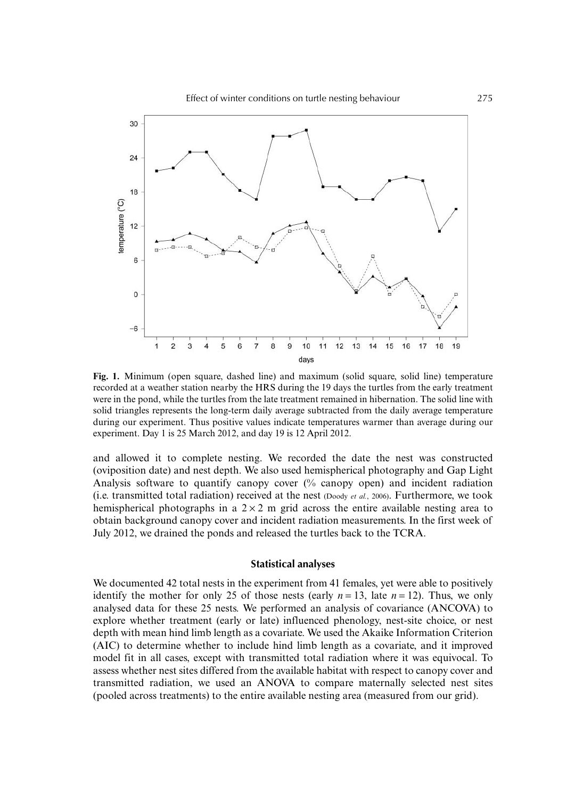

**Fig. 1.** Minimum (open square, dashed line) and maximum (solid square, solid line) temperature recorded at a weather station nearby the HRS during the 19 days the turtles from the early treatment were in the pond, while the turtles from the late treatment remained in hibernation. The solid line with solid triangles represents the long-term daily average subtracted from the daily average temperature during our experiment. Thus positive values indicate temperatures warmer than average during our experiment. Day 1 is 25 March 2012, and day 19 is 12 April 2012.

and allowed it to complete nesting. We recorded the date the nest was constructed (oviposition date) and nest depth. We also used hemispherical photography and Gap Light Analysis software to quantify canopy cover (% canopy open) and incident radiation (i.e. transmitted total radiation) received at the nest (Doody *et al.*, 2006). Furthermore, we took hemispherical photographs in a  $2 \times 2$  m grid across the entire available nesting area to obtain background canopy cover and incident radiation measurements. In the first week of July 2012, we drained the ponds and released the turtles back to the TCRA.

# **Statistical analyses**

We documented 42 total nests in the experiment from 41 females, yet were able to positively identify the mother for only 25 of those nests (early  $n = 13$ , late  $n = 12$ ). Thus, we only analysed data for these 25 nests. We performed an analysis of covariance (ANCOVA) to explore whether treatment (early or late) influenced phenology, nest-site choice, or nest depth with mean hind limb length as a covariate. We used the Akaike Information Criterion (AIC) to determine whether to include hind limb length as a covariate, and it improved model fit in all cases, except with transmitted total radiation where it was equivocal. To assess whether nest sites differed from the available habitat with respect to canopy cover and transmitted radiation, we used an ANOVA to compare maternally selected nest sites (pooled across treatments) to the entire available nesting area (measured from our grid).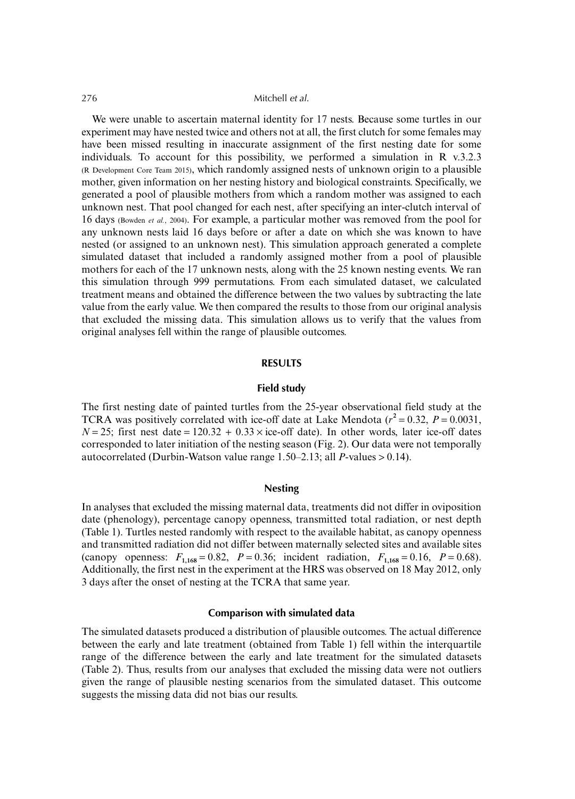276 Mitchell *et al.*

We were unable to ascertain maternal identity for 17 nests. Because some turtles in our experiment may have nested twice and others not at all, the first clutch for some females may have been missed resulting in inaccurate assignment of the first nesting date for some individuals. To account for this possibility, we performed a simulation in R v.3.2.3 (R Development Core Team 2015), which randomly assigned nests of unknown origin to a plausible mother, given information on her nesting history and biological constraints. Specifically, we generated a pool of plausible mothers from which a random mother was assigned to each unknown nest. That pool changed for each nest, after specifying an inter-clutch interval of 16 days (Bowden *et al.*, 2004). For example, a particular mother was removed from the pool for any unknown nests laid 16 days before or after a date on which she was known to have nested (or assigned to an unknown nest). This simulation approach generated a complete simulated dataset that included a randomly assigned mother from a pool of plausible mothers for each of the 17 unknown nests, along with the 25 known nesting events. We ran this simulation through 999 permutations. From each simulated dataset, we calculated treatment means and obtained the difference between the two values by subtracting the late value from the early value. We then compared the results to those from our original analysis that excluded the missing data. This simulation allows us to verify that the values from original analyses fell within the range of plausible outcomes.

## **RESULTS**

#### **Field study**

The first nesting date of painted turtles from the 25-year observational field study at the TCRA was positively correlated with ice-off date at Lake Mendota  $(r^2 = 0.32, P = 0.0031,$  $N = 25$ ; first nest date = 120.32 + 0.33 × ice-off date). In other words, later ice-off dates corresponded to later initiation of the nesting season (Fig. 2). Our data were not temporally autocorrelated (Durbin-Watson value range 1.50–2.13; all *P*-values > 0.14).

#### **Nesting**

In analyses that excluded the missing maternal data, treatments did not differ in oviposition date (phenology), percentage canopy openness, transmitted total radiation, or nest depth (Table 1). Turtles nested randomly with respect to the available habitat, as canopy openness and transmitted radiation did not differ between maternally selected sites and available sites (canopy openness:  $F_{1,168} = 0.82$ ,  $P = 0.36$ ; incident radiation,  $F_{1,168} = 0.16$ ,  $P = 0.68$ ). Additionally, the first nest in the experiment at the HRS was observed on 18 May 2012, only 3 days after the onset of nesting at the TCRA that same year.

#### **Comparison with simulated data**

The simulated datasets produced a distribution of plausible outcomes. The actual difference between the early and late treatment (obtained from Table 1) fell within the interquartile range of the difference between the early and late treatment for the simulated datasets (Table 2). Thus, results from our analyses that excluded the missing data were not outliers given the range of plausible nesting scenarios from the simulated dataset. This outcome suggests the missing data did not bias our results.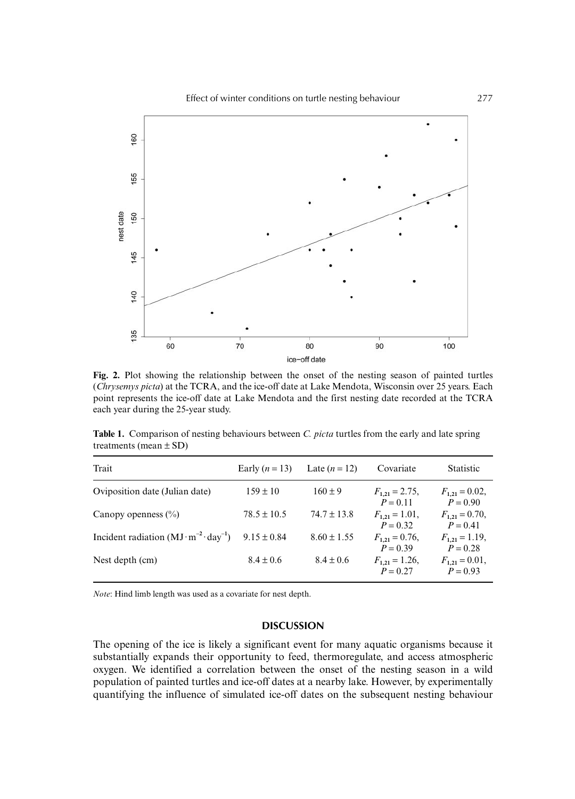

**Fig. 2.** Plot showing the relationship between the onset of the nesting season of painted turtles (*Chrysemys picta*) at the TCRA, and the ice-off date at Lake Mendota, Wisconsin over 25 years. Each point represents the ice-off date at Lake Mendota and the first nesting date recorded at the TCRA each year during the 25-year study.

**Table 1.** Comparison of nesting behaviours between *C. picta* turtles from the early and late spring treatments (mean  $\pm$  SD)

| Trait                                                 | Early $(n=13)$  | Late $(n=12)$   | Covariate                         | <b>Statistic</b>                  |
|-------------------------------------------------------|-----------------|-----------------|-----------------------------------|-----------------------------------|
| Oviposition date (Julian date)                        | $159 \pm 10$    | $160 \pm 9$     | $F_{1,21} = 2.75$ ,<br>$P = 0.11$ | $F_{1,21} = 0.02$ ,<br>$P = 0.90$ |
| Canopy openness $(\%)$                                | $78.5 \pm 10.5$ | $74.7 \pm 13.8$ | $F_{1,21} = 1.01,$<br>$P = 0.32$  | $F_{1,21} = 0.70$ ,<br>$P = 0.41$ |
| Incident radiation $(MJ \cdot m^{-2} \cdot day^{-1})$ | $9.15 \pm 0.84$ | $8.60 \pm 1.55$ | $F_{1,21} = 0.76$ ,<br>$P = 0.39$ | $F_{1,21} = 1.19$ ,<br>$P = 0.28$ |
| Nest depth (cm)                                       | $8.4 \pm 0.6$   | $8.4 \pm 0.6$   | $F_{1,21} = 1.26$ ,<br>$P = 0.27$ | $F_{1,21} = 0.01,$<br>$P = 0.93$  |

*Note*: Hind limb length was used as a covariate for nest depth.

# **DISCUSSION**

The opening of the ice is likely a significant event for many aquatic organisms because it substantially expands their opportunity to feed, thermoregulate, and access atmospheric oxygen. We identified a correlation between the onset of the nesting season in a wild population of painted turtles and ice-off dates at a nearby lake. However, by experimentally quantifying the influence of simulated ice-off dates on the subsequent nesting behaviour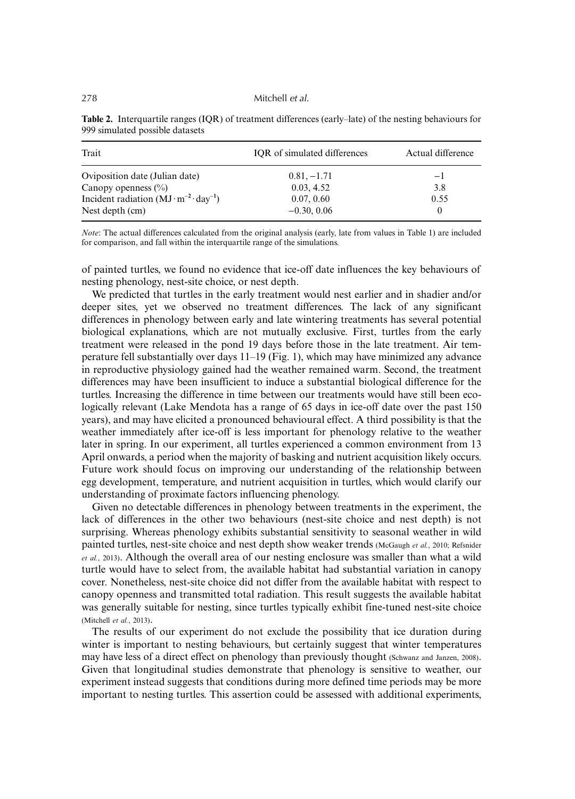| Trait                                                 | IOR of simulated differences | Actual difference |
|-------------------------------------------------------|------------------------------|-------------------|
| Oviposition date (Julian date)                        | $0.81, -1.71$                | $-1$              |
| Canopy openness $(\%)$                                | 0.03, 4.52                   | 3.8               |
| Incident radiation $(MJ \cdot m^{-2} \cdot day^{-1})$ | 0.07, 0.60                   | 0.55              |
| Nest depth (cm)                                       | $-0.30, 0.06$                |                   |

**Table 2.** Interquartile ranges (IQR) of treatment differences (early–late) of the nesting behaviours for 999 simulated possible datasets

*Note*: The actual differences calculated from the original analysis (early, late from values in Table 1) are included for comparison, and fall within the interquartile range of the simulations.

of painted turtles, we found no evidence that ice-off date influences the key behaviours of nesting phenology, nest-site choice, or nest depth.

We predicted that turtles in the early treatment would nest earlier and in shadier and/or deeper sites, yet we observed no treatment differences. The lack of any significant differences in phenology between early and late wintering treatments has several potential biological explanations, which are not mutually exclusive. First, turtles from the early treatment were released in the pond 19 days before those in the late treatment. Air temperature fell substantially over days 11–19 (Fig. 1), which may have minimized any advance in reproductive physiology gained had the weather remained warm. Second, the treatment differences may have been insufficient to induce a substantial biological difference for the turtles. Increasing the difference in time between our treatments would have still been ecologically relevant (Lake Mendota has a range of 65 days in ice-off date over the past 150 years), and may have elicited a pronounced behavioural effect. A third possibility is that the weather immediately after ice-off is less important for phenology relative to the weather later in spring. In our experiment, all turtles experienced a common environment from 13 April onwards, a period when the majority of basking and nutrient acquisition likely occurs. Future work should focus on improving our understanding of the relationship between egg development, temperature, and nutrient acquisition in turtles, which would clarify our understanding of proximate factors influencing phenology.

Given no detectable differences in phenology between treatments in the experiment, the lack of differences in the other two behaviours (nest-site choice and nest depth) is not surprising. Whereas phenology exhibits substantial sensitivity to seasonal weather in wild painted turtles, nest-site choice and nest depth show weaker trends (McGaugh *et al.*, 2010; Refsnider *et al.*, 2013). Although the overall area of our nesting enclosure was smaller than what a wild turtle would have to select from, the available habitat had substantial variation in canopy cover. Nonetheless, nest-site choice did not differ from the available habitat with respect to canopy openness and transmitted total radiation. This result suggests the available habitat was generally suitable for nesting, since turtles typically exhibit fine-tuned nest-site choice (Mitchell *et al.*, 2013).

The results of our experiment do not exclude the possibility that ice duration during winter is important to nesting behaviours, but certainly suggest that winter temperatures may have less of a direct effect on phenology than previously thought (Schwanz and Janzen, 2008). Given that longitudinal studies demonstrate that phenology is sensitive to weather, our experiment instead suggests that conditions during more defined time periods may be more important to nesting turtles. This assertion could be assessed with additional experiments,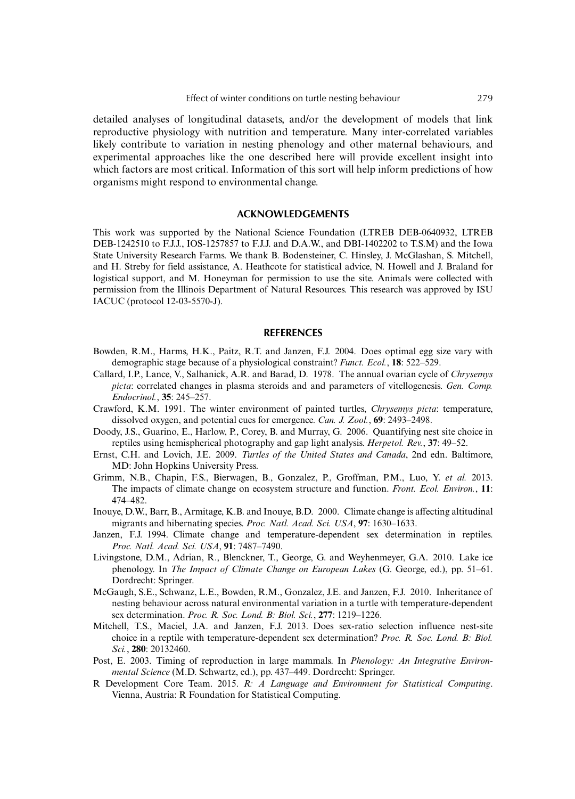detailed analyses of longitudinal datasets, and/or the development of models that link reproductive physiology with nutrition and temperature. Many inter-correlated variables likely contribute to variation in nesting phenology and other maternal behaviours, and experimental approaches like the one described here will provide excellent insight into which factors are most critical. Information of this sort will help inform predictions of how organisms might respond to environmental change.

# **ACKNOWLEDGEMENTS**

This work was supported by the National Science Foundation (LTREB DEB-0640932, LTREB DEB-1242510 to F.J.J., IOS-1257857 to F.J.J. and D.A.W., and DBI-1402202 to T.S.M) and the Iowa State University Research Farms. We thank B. Bodensteiner, C. Hinsley, J. McGlashan, S. Mitchell, and H. Streby for field assistance, A. Heathcote for statistical advice, N. Howell and J. Braland for logistical support, and M. Honeyman for permission to use the site. Animals were collected with permission from the Illinois Department of Natural Resources. This research was approved by ISU IACUC (protocol 12-03-5570-J).

#### **REFERENCES**

- Bowden, R.M., Harms, H.K., Paitz, R.T. and Janzen, F.J. 2004. Does optimal egg size vary with demographic stage because of a physiological constraint? *Funct. Ecol.*, **18**: 522–529.
- Callard, I.P., Lance, V., Salhanick, A.R. and Barad, D. 1978. The annual ovarian cycle of *Chrysemys picta*: correlated changes in plasma steroids and and parameters of vitellogenesis. *Gen. Comp. Endocrinol.*, **35**: 245–257.
- Crawford, K.M. 1991. The winter environment of painted turtles, *Chrysemys picta*: temperature, dissolved oxygen, and potential cues for emergence. *Can. J. Zool.*, **69**: 2493–2498.
- Doody, J.S., Guarino, E., Harlow, P., Corey, B. and Murray, G. 2006. Quantifying nest site choice in reptiles using hemispherical photography and gap light analysis. *Herpetol. Rev.*, **37**: 49–52.
- Ernst, C.H. and Lovich, J.E. 2009. *Turtles of the United States and Canada*, 2nd edn. Baltimore, MD: John Hopkins University Press.
- Grimm, N.B., Chapin, F.S., Bierwagen, B., Gonzalez, P., Groffman, P.M., Luo, Y. *et al.* 2013. The impacts of climate change on ecosystem structure and function. *Front. Ecol. Environ.*, **11**: 474–482.
- Inouye, D.W., Barr, B., Armitage, K.B. and Inouye, B.D. 2000. Climate change is affecting altitudinal migrants and hibernating species. *Proc. Natl. Acad. Sci. USA*, **97**: 1630–1633.
- Janzen, F.J. 1994. Climate change and temperature-dependent sex determination in reptiles. *Proc. Natl. Acad. Sci. USA*, **91**: 7487–7490.
- Livingstone, D.M., Adrian, R., Blenckner, T., George, G. and Weyhenmeyer, G.A. 2010. Lake ice phenology. In *The Impact of Climate Change on European Lakes* (G. George, ed.), pp. 51–61. Dordrecht: Springer.
- McGaugh, S.E., Schwanz, L.E., Bowden, R.M., Gonzalez, J.E. and Janzen, F.J. 2010. Inheritance of nesting behaviour across natural environmental variation in a turtle with temperature-dependent sex determination. *Proc. R. Soc. Lond. B: Biol. Sci.*, **277**: 1219–1226.
- Mitchell, T.S., Maciel, J.A. and Janzen, F.J. 2013. Does sex-ratio selection influence nest-site choice in a reptile with temperature-dependent sex determination? *Proc. R. Soc. Lond. B: Biol. Sci.*, **280**: 20132460.
- Post, E. 2003. Timing of reproduction in large mammals. In *Phenology: An Integrative Environmental Science* (M.D. Schwartz, ed.), pp. 437–449. Dordrecht: Springer.
- R Development Core Team. 2015. *R: A Language and Environment for Statistical Computing*. Vienna, Austria: R Foundation for Statistical Computing.